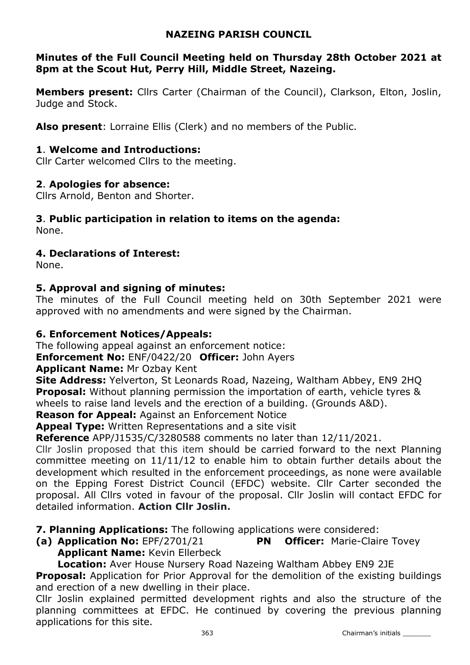# NAZEING PARISH COUNCIL

# Minutes of the Full Council Meeting held on Thursday 28th October 2021 at 8pm at the Scout Hut, Perry Hill, Middle Street, Nazeing.

**Members present:** Cllrs Carter (Chairman of the Council), Clarkson, Elton, Joslin, Judge and Stock.

Also present: Lorraine Ellis (Clerk) and no members of the Public.

## 1. Welcome and Introductions:

Cllr Carter welcomed Cllrs to the meeting.

## 2. Apologies for absence:

Cllrs Arnold, Benton and Shorter.

# 3. Public participation in relation to items on the agenda:

None.

# 4. Declarations of Interest:

None.

# 5. Approval and signing of minutes:

The minutes of the Full Council meeting held on 30th September 2021 were approved with no amendments and were signed by the Chairman.

# 6. Enforcement Notices/Appeals:

The following appeal against an enforcement notice:

**Enforcement No: ENF/0422/20 Officer: John Ayers** 

## Applicant Name: Mr Ozbay Kent

Site Address: Yelverton, St Leonards Road, Nazeing, Waltham Abbey, EN9 2HQ **Proposal:** Without planning permission the importation of earth, vehicle tyres & wheels to raise land levels and the erection of a building. (Grounds A&D).

Reason for Appeal: Against an Enforcement Notice

Appeal Type: Written Representations and a site visit

**Reference** APP/J1535/C/3280588 comments no later than 12/11/2021.

Cllr Joslin proposed that this item should be carried forward to the next Planning committee meeting on 11/11/12 to enable him to obtain further details about the development which resulted in the enforcement proceedings, as none were available on the Epping Forest District Council (EFDC) website. Cllr Carter seconded the proposal. All Cllrs voted in favour of the proposal. Cllr Joslin will contact EFDC for detailed information. Action Cllr Joslin.

**7. Planning Applications:** The following applications were considered:

(a) Application No: EPF/2701/21 PN Officer: Marie-Claire Tovey Applicant Name: Kevin Ellerbeck

Location: Aver House Nursery Road Nazeing Waltham Abbey EN9 2JE

**Proposal:** Application for Prior Approval for the demolition of the existing buildings and erection of a new dwelling in their place.

Cllr Joslin explained permitted development rights and also the structure of the planning committees at EFDC. He continued by covering the previous planning applications for this site.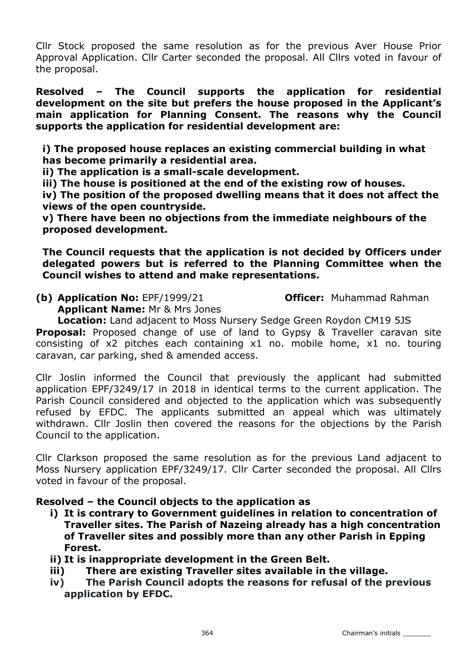Cllr Stock proposed the same resolution as for the previous Aver House Prior Approval Application. Cllr Carter seconded the proposal. All Cllrs voted in favour of the proposal.

Resolved – The Council supports the application for residential development on the site but prefers the house proposed in the Applicant's main application for Planning Consent. The reasons why the Council supports the application for residential development are:

i) The proposed house replaces an existing commercial building in what has become primarily a residential area.

ii) The application is a small-scale development.

iii) The house is positioned at the end of the existing row of houses.

iv) The position of the proposed dwelling means that it does not affect the views of the open countryside.

v) There have been no objections from the immediate neighbours of the proposed development.

The Council requests that the application is not decided by Officers under delegated powers but is referred to the Planning Committee when the Council wishes to attend and make representations.

(b) Application No: EPF/1999/21 **Officer:** Muhammad Rahman

Applicant Name: Mr & Mrs Jones

Location: Land adjacent to Moss Nursery Sedge Green Roydon CM19 5JS Proposal: Proposed change of use of land to Gypsy & Traveller caravan site consisting of x2 pitches each containing x1 no. mobile home, x1 no. touring caravan, car parking, shed & amended access.

Cllr Joslin informed the Council that previously the applicant had submitted application EPF/3249/17 in 2018 in identical terms to the current application. The Parish Council considered and objected to the application which was subsequently refused by EFDC. The applicants submitted an appeal which was ultimately withdrawn. Cllr Joslin then covered the reasons for the objections by the Parish Council to the application.

Cllr Clarkson proposed the same resolution as for the previous Land adjacent to Moss Nursery application EPF/3249/17. Cllr Carter seconded the proposal. All Cllrs voted in favour of the proposal.

## Resolved – the Council objects to the application as

- i) It is contrary to Government guidelines in relation to concentration of Traveller sites. The Parish of Nazeing already has a high concentration of Traveller sites and possibly more than any other Parish in Epping Forest.
- ii) It is inappropriate development in the Green Belt.
- iii) There are existing Traveller sites available in the village.
- iv) The Parish Council adopts the reasons for refusal of the previous application by EFDC.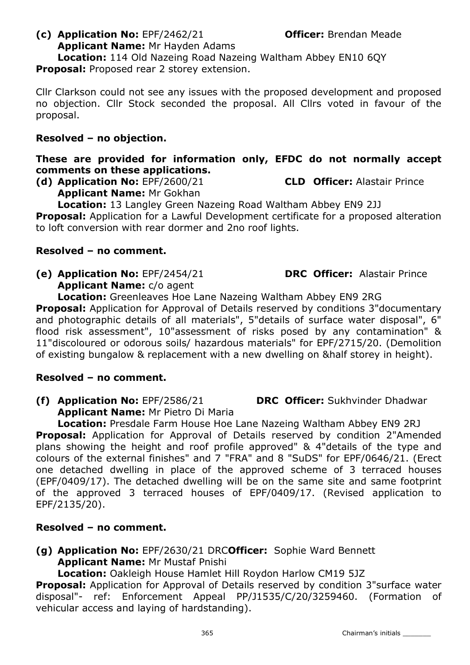## (c) Application No: EPF/2462/21 **Officer:** Brendan Meade Applicant Name: Mr Hayden Adams

Location: 114 Old Nazeing Road Nazeing Waltham Abbey EN10 6QY Proposal: Proposed rear 2 storey extension.

Cllr Clarkson could not see any issues with the proposed development and proposed no objection. Cllr Stock seconded the proposal. All Cllrs voted in favour of the proposal.

# Resolved – no objection.

# These are provided for information only, EFDC do not normally accept comments on these applications.

(d) Application No: EPF/2600/21 CLD Officer: Alastair Prince Applicant Name: Mr Gokhan

Location: 13 Langley Green Nazeing Road Waltham Abbey EN9 2JJ

**Proposal:** Application for a Lawful Development certificate for a proposed alteration to loft conversion with rear dormer and 2no roof lights.

## Resolved – no comment.

(e) Application No: EPF/2454/21 DRC Officer: Alastair Prince Applicant Name: c/o agent

Location: Greenleaves Hoe Lane Nazeing Waltham Abbey EN9 2RG **Proposal:** Application for Approval of Details reserved by conditions 3"documentary and photographic details of all materials", 5"details of surface water disposal", 6" flood risk assessment", 10"assessment of risks posed by any contamination" & 11"discoloured or odorous soils/ hazardous materials" for EPF/2715/20. (Demolition of existing bungalow & replacement with a new dwelling on &half storey in height).

# Resolved – no comment.

(f) Application No: EPF/2586/21 DRC Officer: Sukhvinder Dhadwar Applicant Name: Mr Pietro Di Maria

Location: Presdale Farm House Hoe Lane Nazeing Waltham Abbey EN9 2RJ **Proposal:** Application for Approval of Details reserved by condition 2"Amended plans showing the height and roof profile approved" & 4"details of the type and colours of the external finishes" and 7 "FRA" and 8 "SuDS" for EPF/0646/21. (Erect one detached dwelling in place of the approved scheme of 3 terraced houses (EPF/0409/17). The detached dwelling will be on the same site and same footprint of the approved 3 terraced houses of EPF/0409/17. (Revised application to EPF/2135/20).

# Resolved – no comment.

(g) Application No: EPF/2630/21 DRCOfficer: Sophie Ward Bennett Applicant Name: Mr Mustaf Pnishi

Location: Oakleigh House Hamlet Hill Roydon Harlow CM19 5JZ

**Proposal:** Application for Approval of Details reserved by condition 3"surface water disposal"- ref: Enforcement Appeal PP/J1535/C/20/3259460. (Formation of vehicular access and laying of hardstanding).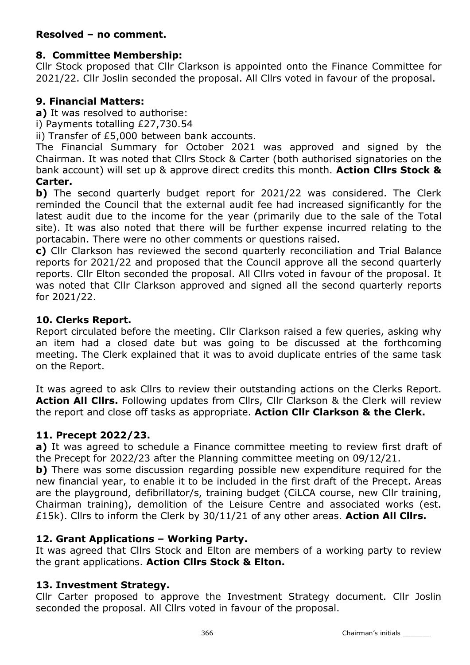# Resolved – no comment.

## 8. Committee Membership:

Cllr Stock proposed that Cllr Clarkson is appointed onto the Finance Committee for 2021/22. Cllr Joslin seconded the proposal. All Cllrs voted in favour of the proposal.

## 9. Financial Matters:

a) It was resolved to authorise:

i) Payments totalling £27,730.54

ii) Transfer of £5,000 between bank accounts.

The Financial Summary for October 2021 was approved and signed by the Chairman. It was noted that Cllrs Stock & Carter (both authorised signatories on the bank account) will set up & approve direct credits this month. Action Cllrs Stock & Carter.

b) The second quarterly budget report for 2021/22 was considered. The Clerk reminded the Council that the external audit fee had increased significantly for the latest audit due to the income for the year (primarily due to the sale of the Total site). It was also noted that there will be further expense incurred relating to the portacabin. There were no other comments or questions raised.

c) Cllr Clarkson has reviewed the second quarterly reconciliation and Trial Balance reports for 2021/22 and proposed that the Council approve all the second quarterly reports. Cllr Elton seconded the proposal. All Cllrs voted in favour of the proposal. It was noted that Cllr Clarkson approved and signed all the second quarterly reports for 2021/22.

## 10. Clerks Report.

Report circulated before the meeting. Cllr Clarkson raised a few queries, asking why an item had a closed date but was going to be discussed at the forthcoming meeting. The Clerk explained that it was to avoid duplicate entries of the same task on the Report.

It was agreed to ask Cllrs to review their outstanding actions on the Clerks Report. Action All Clirs. Following updates from Clirs, Clir Clarkson & the Clerk will review the report and close off tasks as appropriate. Action Cllr Clarkson & the Clerk.

# 11. Precept 2022/23.

a) It was agreed to schedule a Finance committee meeting to review first draft of the Precept for 2022/23 after the Planning committee meeting on 09/12/21.

b) There was some discussion regarding possible new expenditure required for the new financial year, to enable it to be included in the first draft of the Precept. Areas are the playground, defibrillator/s, training budget (CiLCA course, new Cllr training, Chairman training), demolition of the Leisure Centre and associated works (est. £15k). Cllrs to inform the Clerk by  $30/11/21$  of any other areas. Action All Cllrs.

# 12. Grant Applications – Working Party.

It was agreed that Cllrs Stock and Elton are members of a working party to review the grant applications. Action Cllrs Stock & Elton.

## 13. Investment Strategy.

Cllr Carter proposed to approve the Investment Strategy document. Cllr Joslin seconded the proposal. All Cllrs voted in favour of the proposal.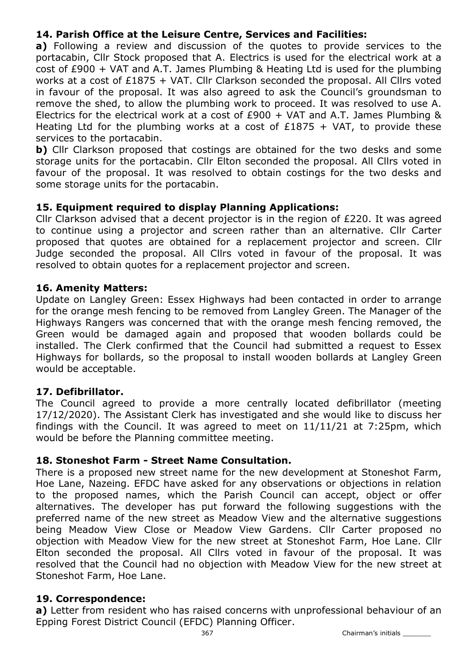# 14. Parish Office at the Leisure Centre, Services and Facilities:

a) Following a review and discussion of the quotes to provide services to the portacabin, Cllr Stock proposed that A. Electrics is used for the electrical work at a cost of £900 + VAT and A.T. James Plumbing & Heating Ltd is used for the plumbing works at a cost of £1875 + VAT. Cllr Clarkson seconded the proposal. All Cllrs voted in favour of the proposal. It was also agreed to ask the Council's groundsman to remove the shed, to allow the plumbing work to proceed. It was resolved to use A. Electrics for the electrical work at a cost of  $£900 + VAT$  and A.T. James Plumbing & Heating Ltd for the plumbing works at a cost of  $£1875 + VAT$ , to provide these services to the portacabin.

b) Cllr Clarkson proposed that costings are obtained for the two desks and some storage units for the portacabin. Cllr Elton seconded the proposal. All Cllrs voted in favour of the proposal. It was resolved to obtain costings for the two desks and some storage units for the portacabin.

## 15. Equipment required to display Planning Applications:

Cllr Clarkson advised that a decent projector is in the region of £220. It was agreed to continue using a projector and screen rather than an alternative. Cllr Carter proposed that quotes are obtained for a replacement projector and screen. Cllr Judge seconded the proposal. All Cllrs voted in favour of the proposal. It was resolved to obtain quotes for a replacement projector and screen.

## 16. Amenity Matters:

Update on Langley Green: Essex Highways had been contacted in order to arrange for the orange mesh fencing to be removed from Langley Green. The Manager of the Highways Rangers was concerned that with the orange mesh fencing removed, the Green would be damaged again and proposed that wooden bollards could be installed. The Clerk confirmed that the Council had submitted a request to Essex Highways for bollards, so the proposal to install wooden bollards at Langley Green would be acceptable.

## 17. Defibrillator.

The Council agreed to provide a more centrally located defibrillator (meeting 17/12/2020). The Assistant Clerk has investigated and she would like to discuss her findings with the Council. It was agreed to meet on 11/11/21 at 7:25pm, which would be before the Planning committee meeting.

## 18. Stoneshot Farm - Street Name Consultation.

There is a proposed new street name for the new development at Stoneshot Farm, Hoe Lane, Nazeing. EFDC have asked for any observations or objections in relation to the proposed names, which the Parish Council can accept, object or offer alternatives. The developer has put forward the following suggestions with the preferred name of the new street as Meadow View and the alternative suggestions being Meadow View Close or Meadow View Gardens. Cllr Carter proposed no objection with Meadow View for the new street at Stoneshot Farm, Hoe Lane. Cllr Elton seconded the proposal. All Cllrs voted in favour of the proposal. It was resolved that the Council had no objection with Meadow View for the new street at Stoneshot Farm, Hoe Lane.

## 19. Correspondence:

a) Letter from resident who has raised concerns with unprofessional behaviour of an Epping Forest District Council (EFDC) Planning Officer.